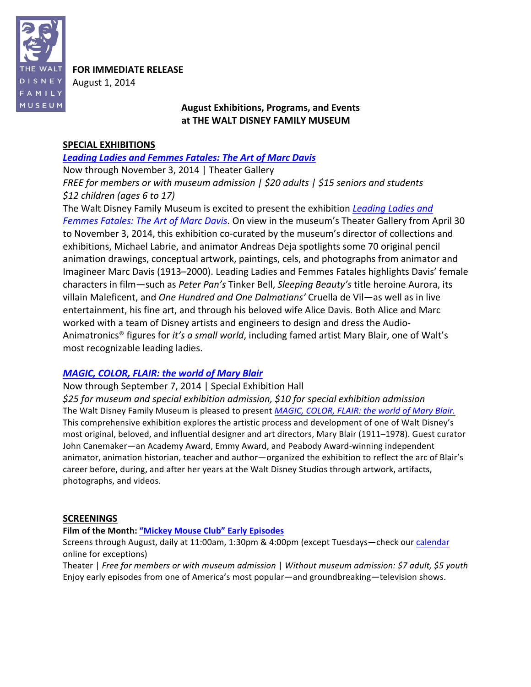

**FOR IMMEDIATE RELEASE** August 1, 2014

# August Exhibitions, Programs, and Events at THE WALT DISNEY FAMILY MUSEUM

# **SPECIAL EXHIBITIONS**

Leading Ladies and Femmes Fatales: The Art of Marc Davis

Now through November 3, 2014 | Theater Gallery *FREE for members or with museum admission | \$20 adults | \$15 seniors and students \$12\$children\$(ages\$6\$to\$17)*

The Walt Disney Family Museum is excited to present the exhibition *Leading Ladies and* Femmes Fatales: The Art of Marc Davis. On view in the museum's Theater Gallery from April 30 to November 3, 2014, this exhibition co-curated by the museum's director of collections and exhibitions, Michael Labrie, and animator Andreas Deja spotlights some 70 original pencil animation drawings, conceptual artwork, paintings, cels, and photographs from animator and Imagineer Marc Davis (1913–2000). Leading Ladies and Femmes Fatales highlights Davis' female characters in film—such as *Peter Pan's* Tinker Bell, *Sleeping Beauty's* title heroine Aurora, its villain Maleficent, and *One Hundred and One Dalmatians'* Cruella de Vil—as well as in live entertainment, his fine art, and through his beloved wife Alice Davis. Both Alice and Marc worked with a team of Disney artists and engineers to design and dress the Audio-Animatronics<sup>®</sup> figures for *it's a small world*, including famed artist Mary Blair, one of Walt's most recognizable leading ladies.

# *MAGIC, COLOR, FLAIR: the world of Mary Blair*

Now through September 7, 2014 | Special Exhibition Hall

\$25 for museum and special exhibition admission, \$10 for special exhibition admission The Walt Disney Family Museum is pleased to present *MAGIC, COLOR, FLAIR: the world of Mary Blair.* This comprehensive exhibition explores the artistic process and development of one of Walt Disney's most original, beloved, and influential designer and art directors, Mary Blair (1911–1978). Guest curator John Canemaker—an Academy Award, Emmy Award, and Peabody Award-winning independent animator, animation historian, teacher and author—organized the exhibition to reflect the arc of Blair's career before, during, and after her years at the Walt Disney Studios through artwork, artifacts, photographs, and videos.

# **SCREENINGS**

## Film of the Month: "Mickey Mouse Club" Early Episodes

Screens through August, daily at 11:00am, 1:30pm & 4:00pm (except Tuesdays—check our calendar online for exceptions)

Theater | *Free for members or with museum admission* | Without museum admission: \$7 adult, \$5 youth Enjoy early episodes from one of America's most popular—and groundbreaking—television shows.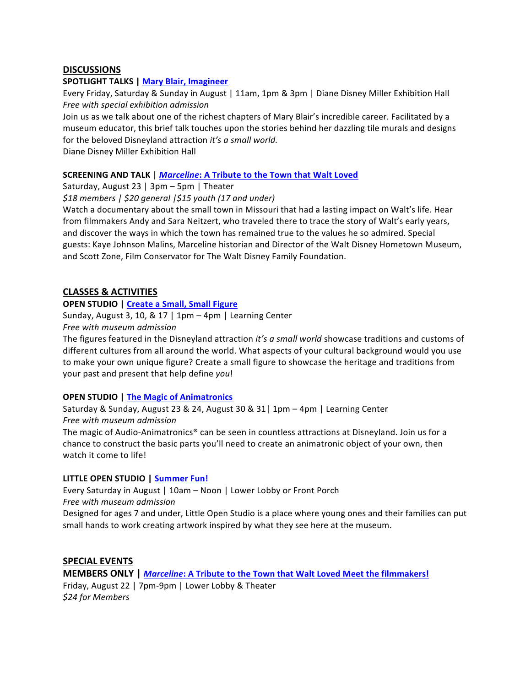# **DISCUSSIONS**

## **SPOTLIGHT TALKS | Mary Blair, Imagineer**

Every Friday, Saturday & Sunday in August | 11am, 1pm & 3pm | Diane Disney Miller Exhibition Hall *Free* with special exhibition admission

Join us as we talk about one of the richest chapters of Mary Blair's incredible career. Facilitated by a museum educator, this brief talk touches upon the stories behind her dazzling tile murals and designs for the beloved Disneyland attraction *it's a small world.* 

Diane Disney Miller Exhibition Hall

## **SCREENING AND TALK** | *Marceline*: A Tribute to the Town that Walt Loved

Saturday, August 23 | 3pm – 5pm | Theater

*\$18\$members\$|\$\$20\$general\$|\$15\$youth\$(17\$and\$under)*

Watch a documentary about the small town in Missouri that had a lasting impact on Walt's life. Hear from filmmakers Andy and Sara Neitzert, who traveled there to trace the story of Walt's early years, and discover the ways in which the town has remained true to the values he so admired. Special guests: Kaye Johnson Malins, Marceline historian and Director of the Walt Disney Hometown Museum, and Scott Zone, Film Conservator for The Walt Disney Family Foundation.

## **CLASSES & ACTIVITIES**

## **OPEN STUDIO | Create a Small, Small Figure**

Sunday, August 3, 10, & 17 | 1pm  $-$  4pm | Learning Center *Free\$with\$museum\$admission*

The figures featured in the Disneyland attraction *it's a small world* showcase traditions and customs of different cultures from all around the world. What aspects of your cultural background would you use to make your own unique figure? Create a small figure to showcase the heritage and traditions from your past and present that help define you!

## **OPEN STUDIO | The Magic of Animatronics**

Saturday & Sunday, August 23 & 24, August 30 & 31 | 1pm - 4pm | Learning Center *Free\$with\$museum\$admission*

The magic of Audio-Animatronics® can be seen in countless attractions at Disneyland. Join us for a chance to construct the basic parts you'll need to create an animatronic object of your own, then watch it come to life!

## **LITTLE OPEN STUDIO | Summer Fun!**

Every Saturday in August | 10am – Noon | Lower Lobby or Front Porch *Free\$with\$museum\$admission*

Designed for ages 7 and under, Little Open Studio is a place where young ones and their families can put small hands to work creating artwork inspired by what they see here at the museum.

## **SPECIAL EVENTS**

**MEMBERS ONLY | Marceline: A Tribute to the Town that Walt Loved Meet the filmmakers!** Friday, August 22 | 7pm-9pm | Lower Lobby & Theater *\$24\$for\$Members\$*